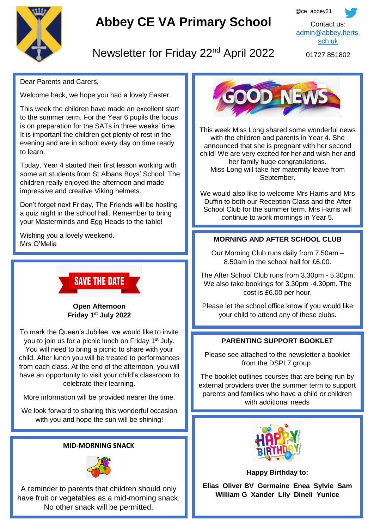

# **Abbey CE VA Primary School**



## Newsletter for Friday 22<sup>nd</sup> April 2022

01727 851802

Dear Parents and Carers,

Welcome back, we hope you had a lovely Easter.

This week the children have made an excellent start to the summer term. For the Year 6 pupils the focus is on preparation for the SATs in three weeks' time. It is important the children get plenty of rest in the evening and are in school every day on time ready to learn.

Today, Year 4 started their first lesson working with some art students from St Albans Boys' School. The children really enjoyed the afternoon and made impressive and creative Viking helmets.

Don't forget next Friday, The Friends will be hosting a quiz night in the school hall. Remember to bring your Masterminds and Egg Heads to the table!

Wishing you a lovely weekend. Mrs O'Melia

**SAVE THE DATE** 

**Open Afternoon Friday 1st July 2022**

To mark the Queen's Jubilee, we would like to invite you to join us for a picnic lunch on Friday 1<sup>st</sup> July. You will need to bring a picnic to share with your child. After lunch you will be treated to performances from each class. At the end of the afternoon, you will have an opportunity to visit your child's classroom to celebrate their learning.

More information will be provided nearer the time.

We look forward to sharing this wonderful occasion with you and hope the sun will be shining!

## **MID-MORNING SNACK**



A reminder to parents that children should only have fruit or vegetables as a mid-morning snack. No other snack will be permitted.



This week Miss Long shared some wonderful news with the children and parents in Year 4. She announced that she is pregnant with her second child! We are very excited for her and wish her and her family huge congratulations. Miss Long will take her maternity leave from September.

We would also like to welcome Mrs Harris and Mrs Duffin to both our Reception Class and the After School Club for the summer term. Mrs Harris will continue to work mornings in Year 5.

## **MORNING AND AFTER SCHOOL CLUB**

Our Morning Club runs daily from 7.50am – 8.50am in the school hall for £6.00.

The After School Club runs from 3.30pm - 5.30pm. We also take bookings for 3.30pm -4.30pm. The cost is £6.00 per hour.

Please let the school office know if you would like your child to attend any of these clubs.

## **PARENTING SUPPORT BOOKLET**

Please see attached to the newsletter a booklet from the DSPL7 group.

The booklet outlines courses that are being run by external providers over the summer term to support parents and families who have a child or children with additional needs



**Happy Birthday to:**

**Elias Oliver BV Germaine Enea Sylvie Sam William G Xander Lily Dineli Yunice**